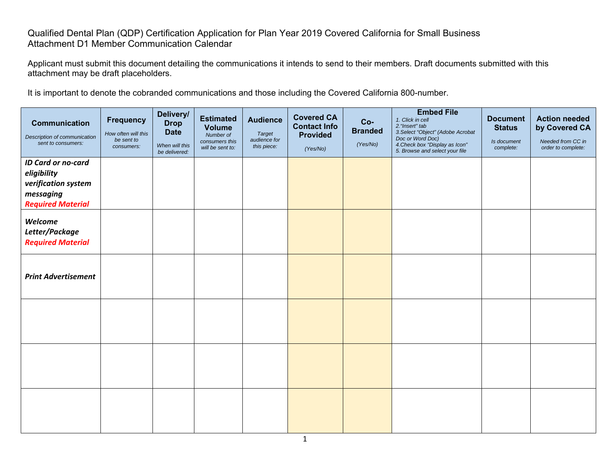## Qualified Dental Plan (QDP) Certification Application for Plan Year 2019 Covered California for Small Business Attachment D1 Member Communication Calendar

Applicant must submit this document detailing the communications it intends to send to their members. Draft documents submitted with this attachment may be draft placeholders.

It is important to denote the cobranded communications and those including the Covered California 800-number.

| <b>Communication</b><br>Description of communication<br>sent to consumers:                               | <b>Frequency</b><br>How often will this<br>be sent to<br>consumers: | Delivery/<br><b>Drop</b><br><b>Date</b><br>When will this<br>be delivered: | <b>Estimated</b><br><b>Volume</b><br>Number of<br>consumers this<br>will be sent to: | <b>Audience</b><br><b>Target</b><br>audience for<br>this piece: | <b>Covered CA</b><br><b>Contact Info</b><br><b>Provided</b><br>(Yes/No) | $Co-$<br><b>Branded</b><br>(Yes/No) | <b>Embed File</b><br>1. Click in cell<br>2. "Insert" tab<br>3. Select "Object" (Adobe Acrobat<br>Doc or Word Doc)<br>4. Check box "Display as Icon"<br>5. Browse and select your file | <b>Document</b><br><b>Status</b><br>Is document<br>complete: | <b>Action needed</b><br>by Covered CA<br>Needed from CC in<br>order to complete: |
|----------------------------------------------------------------------------------------------------------|---------------------------------------------------------------------|----------------------------------------------------------------------------|--------------------------------------------------------------------------------------|-----------------------------------------------------------------|-------------------------------------------------------------------------|-------------------------------------|---------------------------------------------------------------------------------------------------------------------------------------------------------------------------------------|--------------------------------------------------------------|----------------------------------------------------------------------------------|
| <b>ID Card or no-card</b><br>eligibility<br>verification system<br>messaging<br><b>Required Material</b> |                                                                     |                                                                            |                                                                                      |                                                                 |                                                                         |                                     |                                                                                                                                                                                       |                                                              |                                                                                  |
| Welcome<br>Letter/Package<br><b>Required Material</b>                                                    |                                                                     |                                                                            |                                                                                      |                                                                 |                                                                         |                                     |                                                                                                                                                                                       |                                                              |                                                                                  |
| <b>Print Advertisement</b>                                                                               |                                                                     |                                                                            |                                                                                      |                                                                 |                                                                         |                                     |                                                                                                                                                                                       |                                                              |                                                                                  |
|                                                                                                          |                                                                     |                                                                            |                                                                                      |                                                                 |                                                                         |                                     |                                                                                                                                                                                       |                                                              |                                                                                  |
|                                                                                                          |                                                                     |                                                                            |                                                                                      |                                                                 |                                                                         |                                     |                                                                                                                                                                                       |                                                              |                                                                                  |
|                                                                                                          |                                                                     |                                                                            |                                                                                      |                                                                 |                                                                         |                                     |                                                                                                                                                                                       |                                                              |                                                                                  |